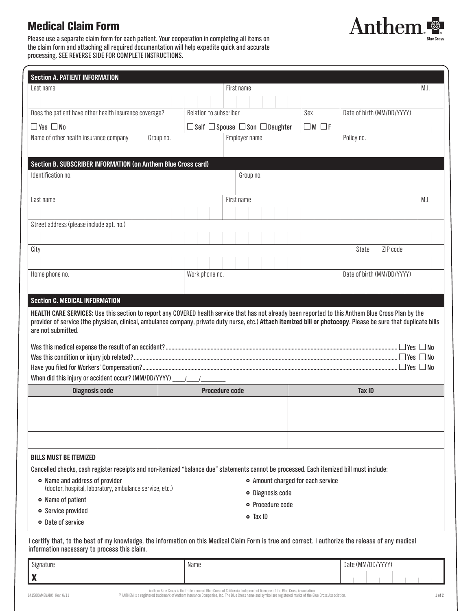# Medical Claim Form

Please use a separate claim form for each patient. Your cooperation in completing all items on the claim form and attaching all required documentation will help expedite quick and accurate processing. SEE REVERSE SIDE FOR COMPLETE INSTRUCTIONS.

| <b>Section A. PATIENT INFORMATION</b>                                                                                                                                                                                                                                                                                                           |                       |  |                                                      |            |               |                            |  |                            |            |  |          |       |                      |  |  |
|-------------------------------------------------------------------------------------------------------------------------------------------------------------------------------------------------------------------------------------------------------------------------------------------------------------------------------------------------|-----------------------|--|------------------------------------------------------|------------|---------------|----------------------------|--|----------------------------|------------|--|----------|-------|----------------------|--|--|
| Last name                                                                                                                                                                                                                                                                                                                                       |                       |  |                                                      | First name |               |                            |  |                            |            |  |          | M.I.  |                      |  |  |
|                                                                                                                                                                                                                                                                                                                                                 |                       |  |                                                      |            |               |                            |  |                            |            |  |          |       |                      |  |  |
| Does the patient have other health insurance coverage?<br>Relation to subscriber                                                                                                                                                                                                                                                                |                       |  |                                                      |            |               | Sex                        |  | Date of birth (MM/DD/YYYY) |            |  |          |       |                      |  |  |
| $\square$ Yes $\square$ No                                                                                                                                                                                                                                                                                                                      |                       |  | $\Box$ Self $\Box$ Spouse $\Box$ Son $\Box$ Daughter |            |               | $\Box$ M $\Box$ F          |  |                            |            |  |          |       |                      |  |  |
| Name of other health insurance company                                                                                                                                                                                                                                                                                                          | Group no.             |  | Employer name                                        |            |               |                            |  |                            | Policy no. |  |          |       |                      |  |  |
|                                                                                                                                                                                                                                                                                                                                                 |                       |  |                                                      |            |               |                            |  |                            |            |  |          |       |                      |  |  |
| Section B. SUBSCRIBER INFORMATION (on Anthem Blue Cross card)                                                                                                                                                                                                                                                                                   |                       |  |                                                      |            |               |                            |  |                            |            |  |          |       |                      |  |  |
| Identification no.<br>Group no.                                                                                                                                                                                                                                                                                                                 |                       |  |                                                      |            |               |                            |  |                            |            |  |          |       |                      |  |  |
|                                                                                                                                                                                                                                                                                                                                                 |                       |  |                                                      |            |               |                            |  |                            |            |  |          |       |                      |  |  |
| Last name                                                                                                                                                                                                                                                                                                                                       |                       |  | First name                                           |            |               |                            |  |                            |            |  |          |       | M.I.                 |  |  |
|                                                                                                                                                                                                                                                                                                                                                 |                       |  |                                                      |            |               |                            |  |                            |            |  |          |       |                      |  |  |
| Street address (please include apt. no.)                                                                                                                                                                                                                                                                                                        |                       |  |                                                      |            |               |                            |  |                            |            |  |          |       |                      |  |  |
|                                                                                                                                                                                                                                                                                                                                                 |                       |  |                                                      |            |               |                            |  |                            |            |  |          |       |                      |  |  |
| City                                                                                                                                                                                                                                                                                                                                            |                       |  |                                                      |            |               |                            |  |                            | State      |  | ZIP code |       |                      |  |  |
|                                                                                                                                                                                                                                                                                                                                                 |                       |  |                                                      |            |               |                            |  |                            |            |  |          |       |                      |  |  |
| Home phone no.<br>Work phone no.                                                                                                                                                                                                                                                                                                                |                       |  |                                                      |            |               | Date of birth (MM/DD/YYYY) |  |                            |            |  |          |       |                      |  |  |
|                                                                                                                                                                                                                                                                                                                                                 |                       |  |                                                      |            |               |                            |  |                            |            |  |          |       |                      |  |  |
| <b>Section C. MEDICAL INFORMATION</b>                                                                                                                                                                                                                                                                                                           |                       |  |                                                      |            |               |                            |  |                            |            |  |          |       |                      |  |  |
| HEALTH CARE SERVICES: Use this section to report any COVERED health service that has not already been reported to this Anthem Blue Cross Plan by the<br>provider of service (the physician, clinical, ambulance company, private duty nurse, etc.) Attach itemized bill or photocopy. Please be sure that duplicate bills<br>are not submitted. |                       |  |                                                      |            |               |                            |  |                            |            |  |          |       |                      |  |  |
|                                                                                                                                                                                                                                                                                                                                                 |                       |  |                                                      |            |               |                            |  |                            |            |  |          | l Yes | l INo                |  |  |
|                                                                                                                                                                                                                                                                                                                                                 |                       |  |                                                      |            |               |                            |  |                            |            |  |          |       | ∣Yes ∐No             |  |  |
|                                                                                                                                                                                                                                                                                                                                                 |                       |  |                                                      |            |               |                            |  |                            |            |  |          |       | $\Box$ Yes $\Box$ No |  |  |
|                                                                                                                                                                                                                                                                                                                                                 |                       |  |                                                      |            |               |                            |  |                            |            |  |          |       |                      |  |  |
| <b>Diagnosis code</b>                                                                                                                                                                                                                                                                                                                           | <b>Procedure code</b> |  |                                                      |            | <b>Tax ID</b> |                            |  |                            |            |  |          |       |                      |  |  |
|                                                                                                                                                                                                                                                                                                                                                 |                       |  |                                                      |            |               |                            |  |                            |            |  |          |       |                      |  |  |
|                                                                                                                                                                                                                                                                                                                                                 |                       |  |                                                      |            |               |                            |  |                            |            |  |          |       |                      |  |  |
|                                                                                                                                                                                                                                                                                                                                                 |                       |  |                                                      |            |               |                            |  |                            |            |  |          |       |                      |  |  |
|                                                                                                                                                                                                                                                                                                                                                 |                       |  |                                                      |            |               |                            |  |                            |            |  |          |       |                      |  |  |
| <b>BILLS MUST BE ITEMIZED</b>                                                                                                                                                                                                                                                                                                                   |                       |  |                                                      |            |               |                            |  |                            |            |  |          |       |                      |  |  |
| Cancelled checks, cash register receipts and non-itemized "balance due" statements cannot be processed. Each itemized bill must include:                                                                                                                                                                                                        |                       |  |                                                      |            |               |                            |  |                            |            |  |          |       |                      |  |  |
| • Name and address of provider<br>• Amount charged for each service                                                                                                                                                                                                                                                                             |                       |  |                                                      |            |               |                            |  |                            |            |  |          |       |                      |  |  |
| (doctor, hospital, laboratory, ambulance service, etc.)<br>· Diagnosis code<br>• Name of patient                                                                                                                                                                                                                                                |                       |  |                                                      |            |               |                            |  |                            |            |  |          |       |                      |  |  |
| o Procedure code<br>• Service provided                                                                                                                                                                                                                                                                                                          |                       |  |                                                      |            |               |                            |  |                            |            |  |          |       |                      |  |  |
| $\bullet$ Tax ID<br>• Date of service                                                                                                                                                                                                                                                                                                           |                       |  |                                                      |            |               |                            |  |                            |            |  |          |       |                      |  |  |
|                                                                                                                                                                                                                                                                                                                                                 |                       |  |                                                      |            |               |                            |  |                            |            |  |          |       |                      |  |  |
| I certify that, to the best of my knowledge, the information on this Medical Claim Form is true and correct. I authorize the release of any medical                                                                                                                                                                                             |                       |  |                                                      |            |               |                            |  |                            |            |  |          |       |                      |  |  |

information necessary to process this claim.

| Signature                     | Name                                                                                                                 | Date (MM/DD/YYYY) |  |  |  |  |  |
|-------------------------------|----------------------------------------------------------------------------------------------------------------------|-------------------|--|--|--|--|--|
| l w<br>$\boldsymbol{\Lambda}$ |                                                                                                                      |                   |  |  |  |  |  |
|                               | Andrew Blue Burrely distribution of Blue Burrely Children's Indian advantage to comparable Blue Burrely and students |                   |  |  |  |  |  |